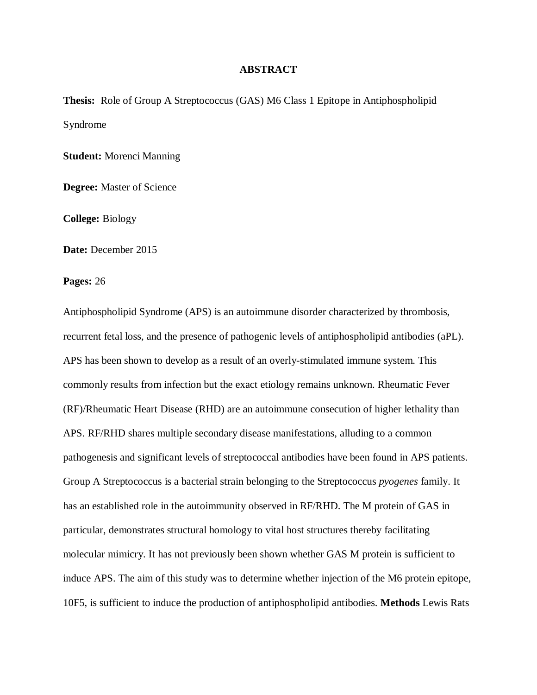## **ABSTRACT**

**Thesis:** Role of Group A Streptococcus (GAS) M6 Class 1 Epitope in Antiphospholipid Syndrome

**Student:** Morenci Manning

**Degree:** Master of Science

**College:** Biology

**Date:** December 2015

**Pages:** 26

Antiphospholipid Syndrome (APS) is an autoimmune disorder characterized by thrombosis, recurrent fetal loss, and the presence of pathogenic levels of antiphospholipid antibodies (aPL). APS has been shown to develop as a result of an overly-stimulated immune system. This commonly results from infection but the exact etiology remains unknown. Rheumatic Fever (RF)/Rheumatic Heart Disease (RHD) are an autoimmune consecution of higher lethality than APS. RF/RHD shares multiple secondary disease manifestations, alluding to a common pathogenesis and significant levels of streptococcal antibodies have been found in APS patients. Group A Streptococcus is a bacterial strain belonging to the Streptococcus *pyogenes* family. It has an established role in the autoimmunity observed in RF/RHD. The M protein of GAS in particular, demonstrates structural homology to vital host structures thereby facilitating molecular mimicry. It has not previously been shown whether GAS M protein is sufficient to induce APS. The aim of this study was to determine whether injection of the M6 protein epitope, 10F5, is sufficient to induce the production of antiphospholipid antibodies. **Methods** Lewis Rats